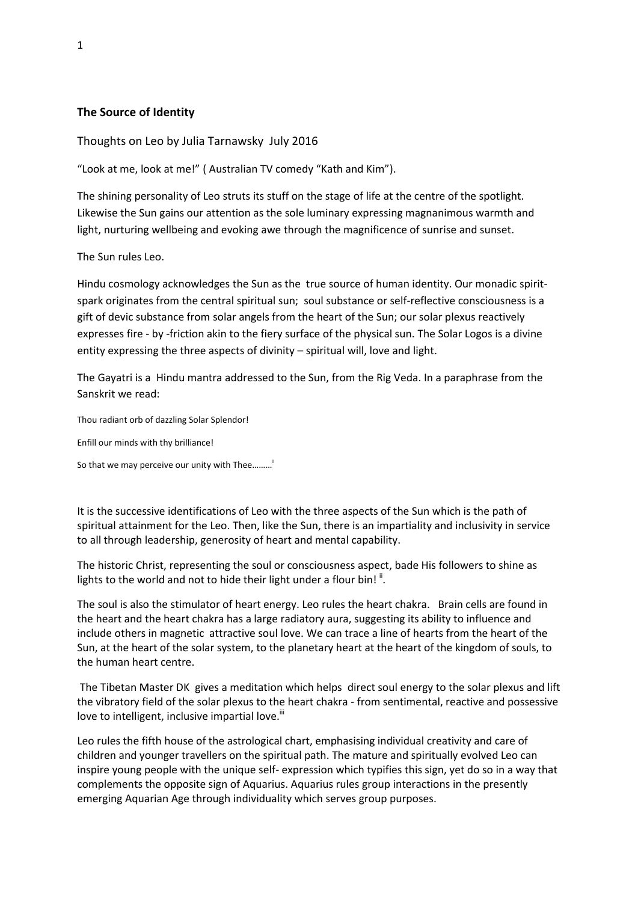## **The Source of Identity**

Thoughts on Leo by Julia Tarnawsky July 2016

"Look at me, look at me!" ( Australian TV comedy "Kath and Kim").

The shining personality of Leo struts its stuff on the stage of life at the centre of the spotlight. Likewise the Sun gains our attention as the sole luminary expressing magnanimous warmth and light, nurturing wellbeing and evoking awe through the magnificence of sunrise and sunset.

The Sun rules Leo.

Hindu cosmology acknowledges the Sun as the true source of human identity. Our monadic spiritspark originates from the central spiritual sun; soul substance or self-reflective consciousness is a gift of devic substance from solar angels from the heart of the Sun; our solar plexus reactively expresses fire - by -friction akin to the fiery surface of the physical sun. The Solar Logos is a divine entity expressing the three aspects of divinity – spiritual will, love and light.

The Gayatri is a Hindu mantra addressed to the Sun, from the Rig Veda. In a paraphrase from the Sanskrit we read:

Thou radiant orb of dazzling Solar Splendor!

Enfill our minds with thy brilliance!

So that we may perceive our unity with Thee.........<sup>1</sup>

It is the successive identifications of Leo with the three aspects of the Sun which is the path of spiritual attainment for the Leo. Then, like the Sun, there is an impartiality and inclusivity in service to all through leadership, generosity of heart and mental capability.

The historic Christ, representing the soul or consciousness aspect, bade His followers to shine as lights to the world and not to hide their light under a flour bin!<sup>"</sup>.

The soul is also the stimulator of heart energy. Leo rules the heart chakra. Brain cells are found in the heart and the heart chakra has a large radiatory aura, suggesting its ability to influence and include others in magnetic attractive soul love. We can trace a line of hearts from the heart of the Sun, at the heart of the solar system, to the planetary heart at the heart of the kingdom of souls, to the human heart centre.

The Tibetan Master DK gives a meditation which helps direct soul energy to the solar plexus and lift the vibratory field of the solar plexus to the heart chakra - from sentimental, reactive and possessive love to intelligent, inclusive impartial love.<sup>iii</sup>

Leo rules the fifth house of the astrological chart, emphasising individual creativity and care of children and younger travellers on the spiritual path. The mature and spiritually evolved Leo can inspire young people with the unique self- expression which typifies this sign, yet do so in a way that complements the opposite sign of Aquarius. Aquarius rules group interactions in the presently emerging Aquarian Age through individuality which serves group purposes.